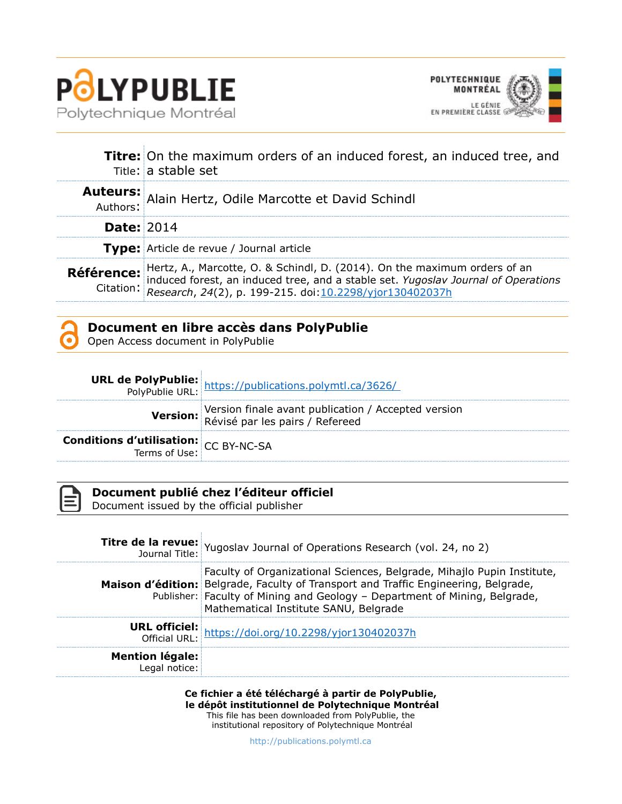



|                   | <b>Titre:</b> On the maximum orders of an induced forest, an induced tree, and<br>Title: a stable set                                                                                                                                               |  |
|-------------------|-----------------------------------------------------------------------------------------------------------------------------------------------------------------------------------------------------------------------------------------------------|--|
|                   | Auteurs: Alain Hertz, Odile Marcotte et David Schindl<br>Authors:                                                                                                                                                                                   |  |
| <b>Date: 2014</b> |                                                                                                                                                                                                                                                     |  |
|                   | Type: Article de revue / Journal article                                                                                                                                                                                                            |  |
|                   | <b>Référence:</b> Hertz, A., Marcotte, O. & Schindl, D. (2014). On the maximum orders of an<br>citation: induced forest, an induced tree, and a stable set. <i>Yugoslav Journal of Operations</i><br>Citation: <i>Research</i> , 24(2), p. 199-215. |  |



Open Access document in PolyPublie

|                                              | <b>URL de PolyPublie:</b> https://publications.polymtl.ca/3626/<br>PolyPublie URL: https://publications.polymtl.ca/3626/ |
|----------------------------------------------|--------------------------------------------------------------------------------------------------------------------------|
|                                              | Version finale avant publication / Accepted version<br>Révisé par les pairs / Refereed                                   |
| <b>Conditions d'utilisation:</b> CC BY-NC-SA |                                                                                                                          |
|                                              |                                                                                                                          |



#### **Document publié chez l'éditeur officiel**

Document issued by the official publisher

|                                         | <b>Titre de la revue:</b> Yugoslav Journal of Operations Research (vol. 24, no 2)<br>Journal Title:                                                                                                                                                                                  |
|-----------------------------------------|--------------------------------------------------------------------------------------------------------------------------------------------------------------------------------------------------------------------------------------------------------------------------------------|
|                                         | Faculty of Organizational Sciences, Belgrade, Mihajlo Pupin Institute,<br>Maison d'édition: Belgrade, Faculty of Transport and Traffic Engineering, Belgrade,<br>Publisher: Faculty of Mining and Geology - Department of Mining, Belgrade,<br>Mathematical Institute SANU, Belgrade |
|                                         | <b>URL officiel:</b><br>Official URL: https://doi.org/10.2298/yjor130402037h                                                                                                                                                                                                         |
| <b>Mention légale:</b><br>Legal notice: |                                                                                                                                                                                                                                                                                      |

**Ce fichier a été téléchargé à partir de PolyPublie, le dépôt institutionnel de Polytechnique Montréal**

This file has been downloaded from PolyPublie, the institutional repository of Polytechnique Montréal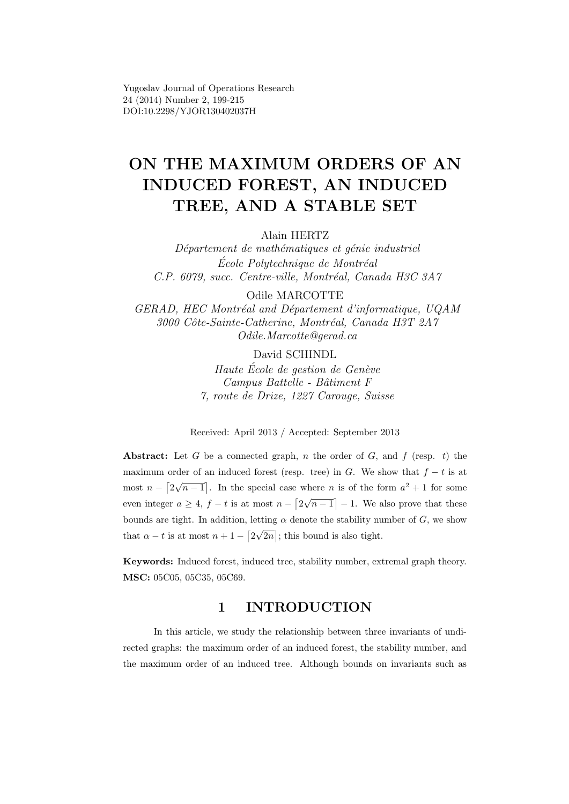Yugoslav Journal of Operations Research 24 (2014) Number 2, 199-215 DOI:10.2298/YJOR130402037H

# ON THE MAXIMUM ORDERS OF AN INDUCED FOREST, AN INDUCED TREE, AND A STABLE SET

Alain HERTZ

Département de mathématiques et génie industriel  $\acute{E}cole Polytechnique de Montréal$  $C.P.$  6079, succ. Centre-ville, Montréal, Canada H3C 3A7

Odile MARCOTTE GERAD, HEC Montréal and Département d'informatique, UQAM 3000 Côte-Sainte-Catherine, Montréal, Canada H3T 2A7 Odile.Marcotte@gerad.ca

David SCHINDL

Haute École de gestion de Genève Campus Battelle - Bâtiment F 7, route de Drize, 1227 Carouge, Suisse

Received: April 2013 / Accepted: September 2013

Abstract: Let G be a connected graph, n the order of G, and  $f$  (resp. t) the maximum order of an induced forest (resp. tree) in G. We show that  $f - t$  is at most  $n - \lfloor 2\sqrt{n-1} \rfloor$ . In the special case where n is of the form  $a^2 + 1$  for some even integer  $a \geq 4$ ,  $f - t$  is at most  $n - \lfloor 2\sqrt{n-1} \rfloor - 1$ . We also prove that these bounds are tight. In addition, letting  $\alpha$  denote the stability number of G, we show that  $\alpha - t$  is at most  $n + 1 - \lceil 2 \rceil$ √  $\overline{2n}$ ; this bound is also tight.

Keywords: Induced forest, induced tree, stability number, extremal graph theory. MSC: 05C05, 05C35, 05C69.

#### 1 INTRODUCTION

In this article, we study the relationship between three invariants of undirected graphs: the maximum order of an induced forest, the stability number, and the maximum order of an induced tree. Although bounds on invariants such as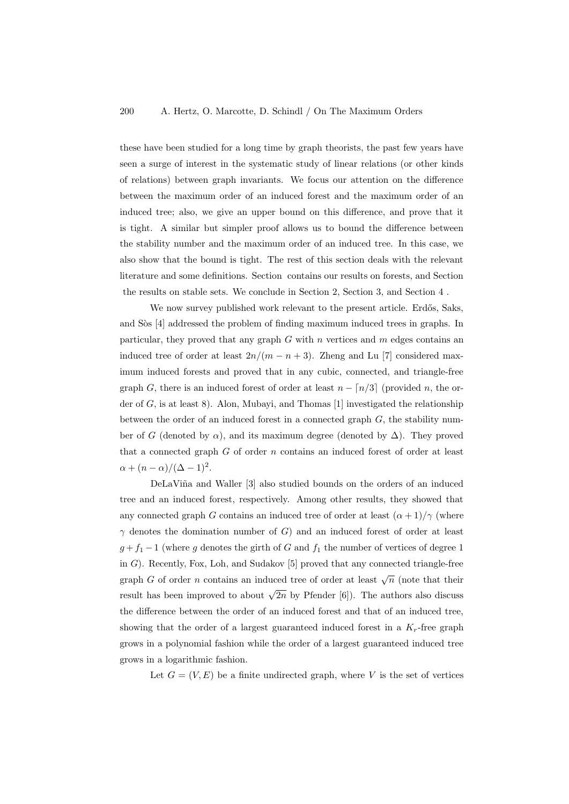these have been studied for a long time by graph theorists, the past few years have seen a surge of interest in the systematic study of linear relations (or other kinds of relations) between graph invariants. We focus our attention on the difference between the maximum order of an induced forest and the maximum order of an induced tree; also, we give an upper bound on this difference, and prove that it is tight. A similar but simpler proof allows us to bound the difference between the stability number and the maximum order of an induced tree. In this case, we also show that the bound is tight. The rest of this section deals with the relevant literature and some definitions. Section contains our results on forests, and Section the results on stable sets. We conclude in Section 2, Section 3, and Section 4 .

We now survey published work relevant to the present article. Erdős, Saks, and Sos [4] addressed the problem of finding maximum induced trees in graphs. In particular, they proved that any graph  $G$  with n vertices and  $m$  edges contains an induced tree of order at least  $2n/(m - n + 3)$ . Zheng and Lu [7] considered maximum induced forests and proved that in any cubic, connected, and triangle-free graph G, there is an induced forest of order at least  $n - \lfloor n/3 \rfloor$  (provided n, the order of  $G$ , is at least 8). Alon, Mubayi, and Thomas [1] investigated the relationship between the order of an induced forest in a connected graph  $G$ , the stability number of G (denoted by  $\alpha$ ), and its maximum degree (denoted by  $\Delta$ ). They proved that a connected graph  $G$  of order  $n$  contains an induced forest of order at least  $\alpha + (n - \alpha)/(\Delta - 1)^2$ .

DeLaViña and Waller [3] also studied bounds on the orders of an induced tree and an induced forest, respectively. Among other results, they showed that any connected graph G contains an induced tree of order at least  $(\alpha + 1)/\gamma$  (where  $\gamma$  denotes the domination number of G) and an induced forest of order at least  $g + f_1 - 1$  (where g denotes the girth of G and  $f_1$  the number of vertices of degree 1 in  $G$ ). Recently, Fox, Loh, and Sudakov  $[5]$  proved that any connected triangle-free graph G of order n contains an induced tree of order at least  $\sqrt{n}$  (note that their result has been improved to about  $\sqrt{2n}$  by Pfender [6]). The authors also discuss the difference between the order of an induced forest and that of an induced tree, showing that the order of a largest guaranteed induced forest in a  $K_r$ -free graph grows in a polynomial fashion while the order of a largest guaranteed induced tree grows in a logarithmic fashion.

Let  $G = (V, E)$  be a finite undirected graph, where V is the set of vertices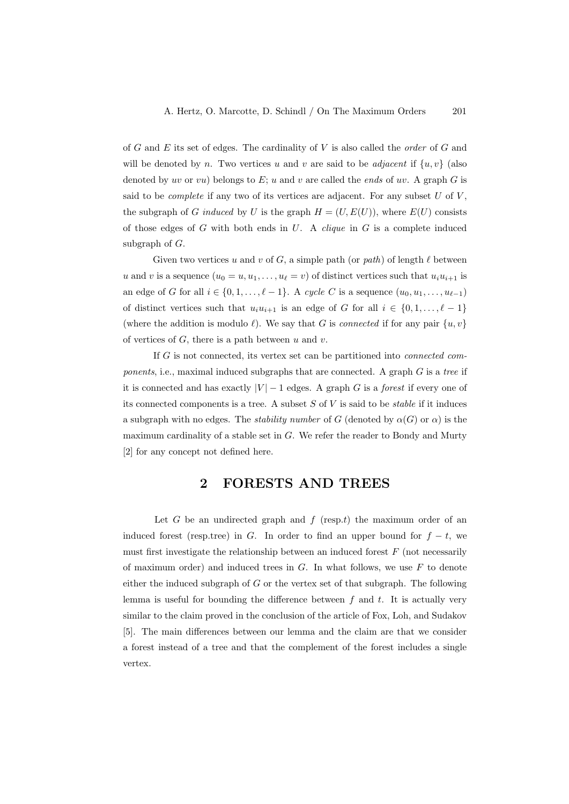of  $G$  and  $E$  its set of edges. The cardinality of  $V$  is also called the *order* of  $G$  and will be denoted by n. Two vertices u and v are said to be *adjacent* if  $\{u, v\}$  (also denoted by uv or vu) belongs to  $E$ ; u and v are called the ends of uv. A graph G is said to be *complete* if any two of its vertices are adjacent. For any subset  $U$  of  $V$ , the subgraph of G induced by U is the graph  $H = (U, E(U))$ , where  $E(U)$  consists of those edges of G with both ends in  $U$ . A *clique* in  $G$  is a complete induced subgraph of  $G$ .

Given two vertices u and v of G, a simple path (or path) of length  $\ell$  between u and v is a sequence  $(u_0 = u, u_1, \ldots, u_\ell = v)$  of distinct vertices such that  $u_i u_{i+1}$  is an edge of G for all  $i \in \{0, 1, \ldots, \ell - 1\}$ . A cycle C is a sequence  $(u_0, u_1, \ldots, u_{\ell-1})$ of distinct vertices such that  $u_i u_{i+1}$  is an edge of G for all  $i \in \{0, 1, \ldots, \ell - 1\}$ (where the addition is modulo  $\ell$ ). We say that G is *connected* if for any pair  $\{u, v\}$ of vertices of  $G$ , there is a path between  $u$  and  $v$ .

If G is not connected, its vertex set can be partitioned into connected components, i.e., maximal induced subgraphs that are connected. A graph  $G$  is a tree if it is connected and has exactly  $|V| - 1$  edges. A graph G is a *forest* if every one of its connected components is a tree. A subset  $S$  of  $V$  is said to be *stable* if it induces a subgraph with no edges. The *stability number* of G (denoted by  $\alpha(G)$  or  $\alpha$ ) is the maximum cardinality of a stable set in  $G$ . We refer the reader to Bondy and Murty [2] for any concept not defined here.

#### 2 FORESTS AND TREES

Let G be an undirected graph and  $f$  (resp.t) the maximum order of an induced forest (resp.tree) in G. In order to find an upper bound for  $f - t$ , we must first investigate the relationship between an induced forest  $F$  (not necessarily of maximum order) and induced trees in  $G$ . In what follows, we use  $F$  to denote either the induced subgraph of  $G$  or the vertex set of that subgraph. The following lemma is useful for bounding the difference between  $f$  and  $t$ . It is actually very similar to the claim proved in the conclusion of the article of Fox, Loh, and Sudakov [5]. The main differences between our lemma and the claim are that we consider a forest instead of a tree and that the complement of the forest includes a single vertex.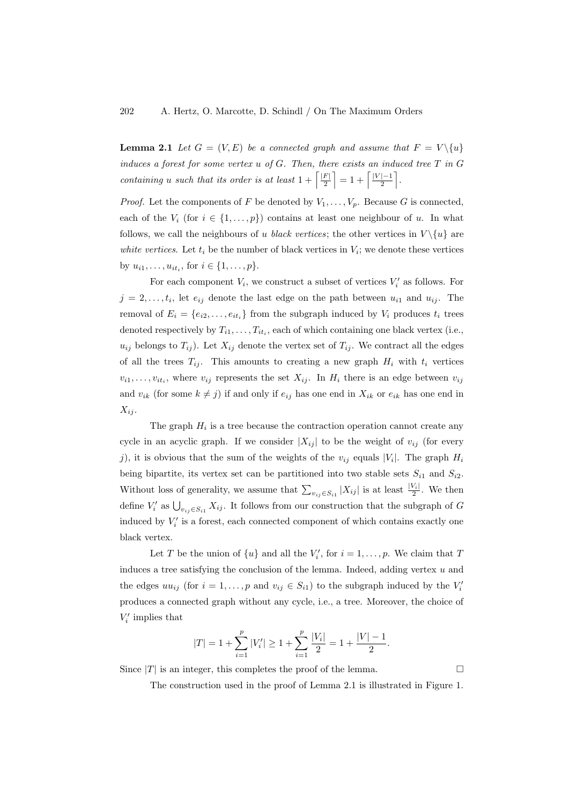**Lemma 2.1** Let  $G = (V, E)$  be a connected graph and assume that  $F = V \setminus \{u\}$ induces a forest for some vertex  $u$  of  $G$ . Then, there exists an induced tree  $T$  in  $G$ containing u such that its order is at least  $1 + \left[\frac{|F|}{2}\right]$  $\left[\frac{F|}{2}\right] = 1 + \left[\frac{|V| - 1}{2}\right]$  $\frac{|-1|}{2}$ .

*Proof.* Let the components of F be denoted by  $V_1, \ldots, V_p$ . Because G is connected, each of the  $V_i$  (for  $i \in \{1, ..., p\}$ ) contains at least one neighbour of u. In what follows, we call the neighbours of u black vertices; the other vertices in  $V \setminus \{u\}$  are white vertices. Let  $t_i$  be the number of black vertices in  $V_i$ ; we denote these vertices by  $u_{i1}, \ldots, u_{it_i}$ , for  $i \in \{1, \ldots, p\}$ .

For each component  $V_i$ , we construct a subset of vertices  $V_i'$  as follows. For  $j = 2, \ldots, t_i$ , let  $e_{ij}$  denote the last edge on the path between  $u_{i1}$  and  $u_{ij}$ . The removal of  $E_i = \{e_{i2}, \ldots, e_{it_i}\}\$ from the subgraph induced by  $V_i$  produces  $t_i$  trees denoted respectively by  $T_{i1}, \ldots, T_{it_i}$ , each of which containing one black vertex (i.e.,  $u_{ij}$  belongs to  $T_{ij}$ ). Let  $X_{ij}$  denote the vertex set of  $T_{ij}$ . We contract all the edges of all the trees  $T_{ij}$ . This amounts to creating a new graph  $H_i$  with  $t_i$  vertices  $v_{i1}, \ldots, v_{it_i}$ , where  $v_{ij}$  represents the set  $X_{ij}$ . In  $H_i$  there is an edge between  $v_{ij}$ and  $v_{ik}$  (for some  $k \neq j$ ) if and only if  $e_{ij}$  has one end in  $X_{ik}$  or  $e_{ik}$  has one end in  $X_{ij}$ .

The graph  $H_i$  is a tree because the contraction operation cannot create any cycle in an acyclic graph. If we consider  $|X_{ij}|$  to be the weight of  $v_{ij}$  (for every j), it is obvious that the sum of the weights of the  $v_{ij}$  equals |V<sub>i</sub>|. The graph  $H_i$ being bipartite, its vertex set can be partitioned into two stable sets  $S_{i1}$  and  $S_{i2}$ . Without loss of generality, we assume that  $\sum_{v_{ij}\in S_{i1}} |X_{ij}|$  is at least  $\frac{|V_i|}{2}$ . We then define  $V_i'$  as  $\bigcup_{v_{ij} \in S_{i1}} X_{ij}$ . It follows from our construction that the subgraph of G induced by  $V_i'$  is a forest, each connected component of which contains exactly one black vertex.

Let T be the union of  $\{u\}$  and all the  $V'_i$ , for  $i = 1, \ldots, p$ . We claim that T induces a tree satisfying the conclusion of the lemma. Indeed, adding vertex  $u$  and the edges  $uu_{ij}$  (for  $i = 1, ..., p$  and  $v_{ij} \in S_{i1}$ ) to the subgraph induced by the  $V_i'$ produces a connected graph without any cycle, i.e., a tree. Moreover, the choice of  $V^\prime_i$  implies that

$$
|T| = 1 + \sum_{i=1}^{p} |V'_i| \ge 1 + \sum_{i=1}^{p} \frac{|V_i|}{2} = 1 + \frac{|V| - 1}{2}.
$$

Since  $|T|$  is an integer, this completes the proof of the lemma.

The construction used in the proof of Lemma 2.1 is illustrated in Figure 1.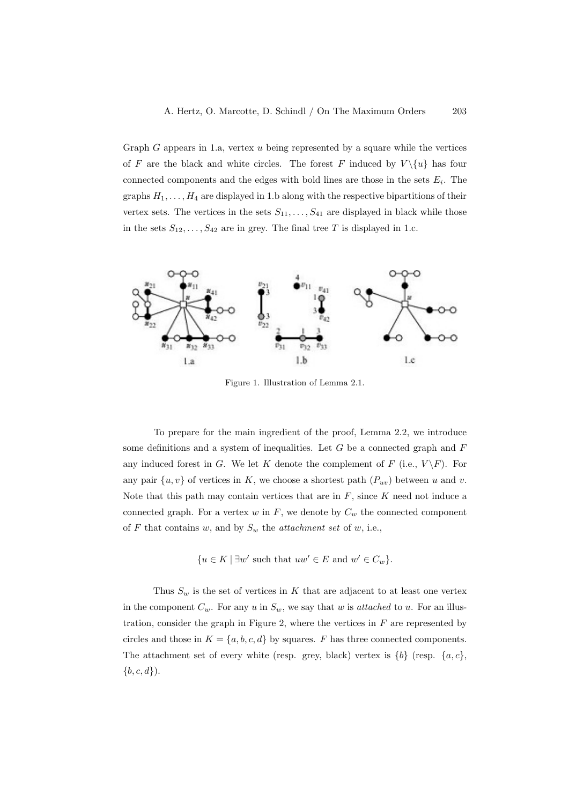Graph  $G$  appears in 1.a, vertex  $u$  being represented by a square while the vertices of F are the black and white circles. The forest F induced by  $V \setminus \{u\}$  has four connected components and the edges with bold lines are those in the sets  $E_i$ . The graphs  $H_1, \ldots, H_4$  are displayed in 1.b along with the respective bipartitions of their vertex sets. The vertices in the sets  $S_{11}, \ldots, S_{41}$  are displayed in black while those in the sets  $S_{12}, \ldots, S_{42}$  are in grey. The final tree T is displayed in 1.c.



Figure 1. Illustration of Lemma 2.1.

To prepare for the main ingredient of the proof, Lemma 2.2, we introduce some definitions and a system of inequalities. Let  $G$  be a connected graph and  $F$ any induced forest in G. We let K denote the complement of F (i.e.,  $V \ F$ ). For any pair  $\{u, v\}$  of vertices in K, we choose a shortest path  $(P_{uv})$  between u and v. Note that this path may contain vertices that are in  $F$ , since  $K$  need not induce a connected graph. For a vertex  $w$  in  $F$ , we denote by  $C_w$  the connected component of F that contains w, and by  $S_w$  the *attachment set* of w, i.e.,

$$
\{u \in K \mid \exists w' \text{ such that } uw' \in E \text{ and } w' \in C_w\}.
$$

Thus  $S_w$  is the set of vertices in K that are adjacent to at least one vertex in the component  $C_w$ . For any u in  $S_w$ , we say that w is attached to u. For an illustration, consider the graph in Figure 2, where the vertices in  $F$  are represented by circles and those in  $K = \{a, b, c, d\}$  by squares. F has three connected components. The attachment set of every white (resp. grey, black) vertex is  $\{b\}$  (resp.  $\{a, c\}$ ,  $\{b, c, d\}.$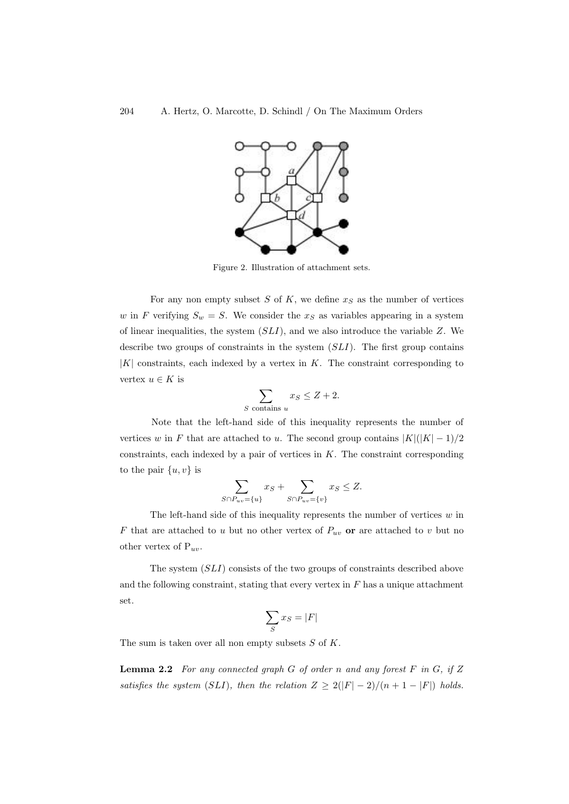

Figure 2. Illustration of attachment sets.

For any non empty subset  $S$  of  $K$ , we define  $x_S$  as the number of vertices w in F verifying  $S_w = S$ . We consider the  $x_S$  as variables appearing in a system of linear inequalities, the system  $(SLI)$ , and we also introduce the variable Z. We describe two groups of constraints in the system  $(SLI)$ . The first group contains  $|K|$  constraints, each indexed by a vertex in K. The constraint corresponding to vertex  $u \in K$  is

$$
\sum_{S \text{ contains } u} x_S \le Z + 2.
$$

Note that the left-hand side of this inequality represents the number of vertices w in F that are attached to u. The second group contains  $|K|(|K|-1)/2$ constraints, each indexed by a pair of vertices in  $K$ . The constraint corresponding to the pair  $\{u, v\}$  is

$$
\sum_{S \cap P_{uv} = \{u\}} x_S + \sum_{S \cap P_{uv} = \{v\}} x_S \leq Z.
$$

The left-hand side of this inequality represents the number of vertices  $w$  in F that are attached to u but no other vertex of  $P_{uv}$  or are attached to v but no other vertex of  $P_{uv}$ .

The system (SLI) consists of the two groups of constraints described above and the following constraint, stating that every vertex in  $F$  has a unique attachment set.

$$
\sum_{S} x_{S} = |F|
$$

The sum is taken over all non empty subsets  $S$  of  $K$ .

**Lemma 2.2** For any connected graph  $G$  of order n and any forest  $F$  in  $G$ , if  $Z$ satisfies the system (SLI), then the relation  $Z \geq 2(|F|-2)/(n+1-|F|)$  holds.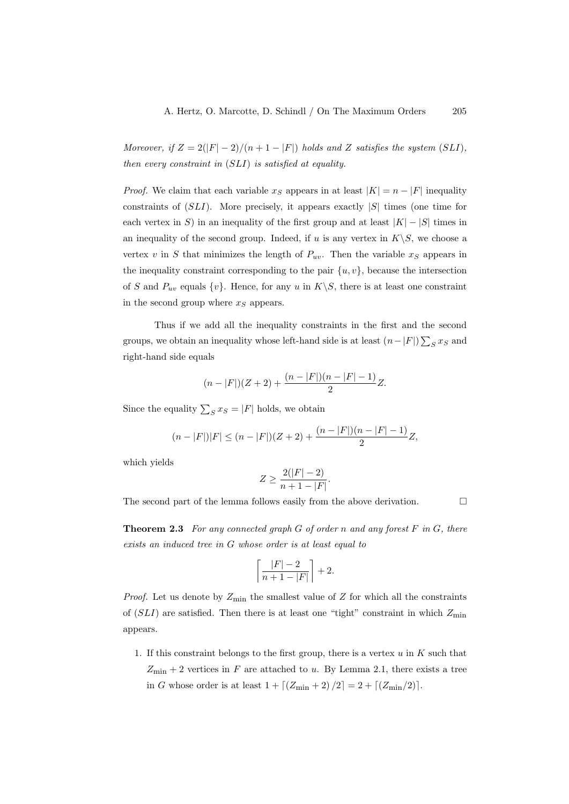Moreover, if  $Z = 2(|F| - 2)/(n + 1 - |F|)$  holds and Z satisfies the system (SLI), then every constraint in (SLI) is satisfied at equality.

*Proof.* We claim that each variable  $x_S$  appears in at least  $|K| = n - |F|$  inequality constraints of  $(SLI)$ . More precisely, it appears exactly  $|S|$  times (one time for each vertex in S) in an inequality of the first group and at least  $|K| - |S|$  times in an inequality of the second group. Indeed, if u is any vertex in  $K\setminus S$ , we choose a vertex v in S that minimizes the length of  $P_{uv}$ . Then the variable  $x_S$  appears in the inequality constraint corresponding to the pair  $\{u, v\}$ , because the intersection of S and  $P_{uv}$  equals  $\{v\}$ . Hence, for any u in  $K\backslash S$ , there is at least one constraint in the second group where  $x<sub>S</sub>$  appears.

Thus if we add all the inequality constraints in the first and the second groups, we obtain an inequality whose left-hand side is at least  $(n-|F|)\sum_{S} x_{S}$  and right-hand side equals

$$
(n-|F|)(Z+2) + \frac{(n-|F|)(n-|F|-1)}{2}Z.
$$

Since the equality  $\sum_{S} x_{S} = |F|$  holds, we obtain

$$
(n-|F|)|F| \le (n-|F|)(Z+2) + \frac{(n-|F|)(n-|F|-1)}{2}Z,
$$

which yields

$$
Z \ge \frac{2(|F| - 2)}{n + 1 - |F|}.
$$

The second part of the lemma follows easily from the above derivation.  $\Box$ 

**Theorem 2.3** For any connected graph G of order n and any forest F in G, there exists an induced tree in G whose order is at least equal to

$$
\left\lceil \frac{|F|-2}{n+1-|F|} \right\rceil + 2.
$$

*Proof.* Let us denote by  $Z_{\text{min}}$  the smallest value of Z for which all the constraints of  $(SLI)$  are satisfied. Then there is at least one "tight" constraint in which  $Z_{\text{min}}$ appears.

1. If this constraint belongs to the first group, there is a vertex  $u$  in  $K$  such that  $Z_{\text{min}} + 2$  vertices in F are attached to u. By Lemma 2.1, there exists a tree in G whose order is at least  $1 + \left[ (Z_{\min} + 2)/2 \right] = 2 + \left[ (Z_{\min}/2) \right]$ .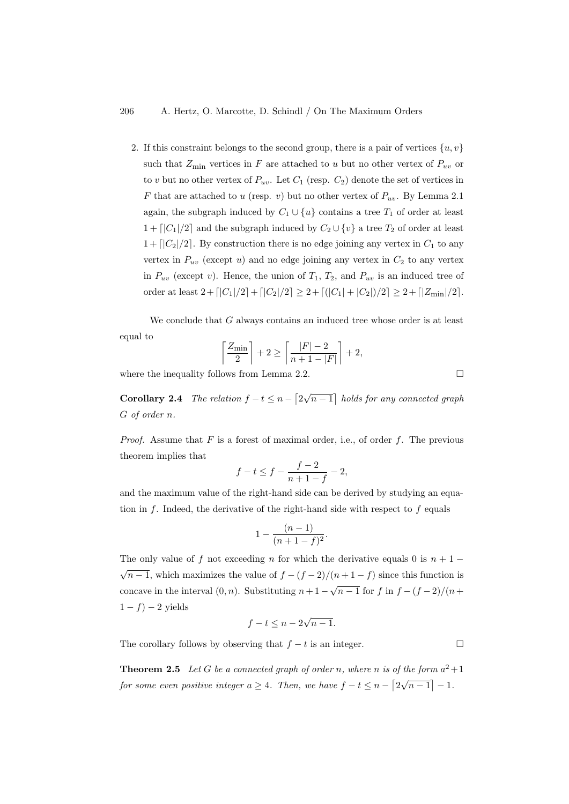2. If this constraint belongs to the second group, there is a pair of vertices  $\{u, v\}$ such that  $Z_{\text{min}}$  vertices in F are attached to u but no other vertex of  $P_{uv}$  or to v but no other vertex of  $P_{uv}$ . Let  $C_1$  (resp.  $C_2$ ) denote the set of vertices in F that are attached to u (resp. v) but no other vertex of  $P_{uv}$ . By Lemma 2.1 again, the subgraph induced by  $C_1 \cup \{u\}$  contains a tree  $T_1$  of order at least  $1 + \lfloor |C_1|/2 \rfloor$  and the subgraph induced by  $C_2 \cup \{v\}$  a tree  $T_2$  of order at least  $1 + \lfloor |C_2|/2 \rfloor$ . By construction there is no edge joining any vertex in  $C_1$  to any vertex in  $P_{uv}$  (except u) and no edge joining any vertex in  $C_2$  to any vertex in  $P_{uv}$  (except v). Hence, the union of  $T_1, T_2$ , and  $P_{uv}$  is an induced tree of order at least  $2+ \lfloor |C_1|/2 \rfloor + \lfloor |C_2|/2 \rfloor \geq 2+ \lfloor (|C_1| + |C_2|)/2 \rfloor \geq 2+ \lfloor |Z_{\min}|/2 \rfloor.$ 

We conclude that  $G$  always contains an induced tree whose order is at least equal to

$$
\left\lceil \frac{Z_{\min}}{2} \right\rceil + 2 \ge \left\lceil \frac{|F| - 2}{n + 1 - |F|} \right\rceil + 2,
$$

where the inequality follows from Lemma 2.2.  $\Box$ 

**Corollary 2.4** The relation  $f - t \leq n - \lfloor 2\sqrt{n-1} \rfloor$  holds for any connected graph G of order n.

*Proof.* Assume that  $F$  is a forest of maximal order, i.e., of order  $f$ . The previous theorem implies that

$$
f-t\leq f-\frac{f-2}{n+1-f}-2,
$$

and the maximum value of the right-hand side can be derived by studying an equation in f. Indeed, the derivative of the right-hand side with respect to f equals

$$
1 - \frac{(n-1)}{(n+1-f)^2}.
$$

The only value of f not exceeding n for which the derivative equals 0 is  $n + 1 \sqrt{n-1}$ , which maximizes the value of  $f - (f-2)/(n+1-f)$  since this function is concave in the interval  $(0, n)$ . Substituting  $n + 1 - \sqrt{n-1}$  for f in  $f - (f - 2)/(n +$  $1 - f$ ) − 2 yields

$$
f - t \le n - 2\sqrt{n - 1}.
$$

The corollary follows by observing that  $f - t$  is an integer.  $\Box$ 

**Theorem 2.5** Let G be a connected graph of order n, where n is of the form  $a^2 + 1$ for some even positive integer  $a \geq 4$ . Then, we have  $f - t \leq n - \lfloor 2\sqrt{n-1} \rfloor - 1$ .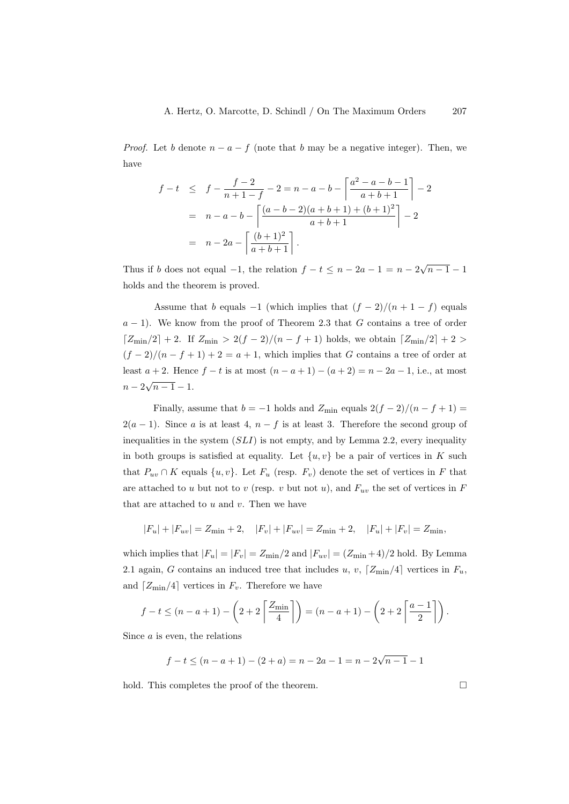*Proof.* Let b denote  $n - a - f$  (note that b may be a negative integer). Then, we have

$$
f - t \leq f - \frac{f - 2}{n + 1 - f} - 2 = n - a - b - \left[ \frac{a^2 - a - b - 1}{a + b + 1} \right] - 2
$$
  
=  $n - a - b - \left[ \frac{(a - b - 2)(a + b + 1) + (b + 1)^2}{a + b + 1} \right] - 2$   
=  $n - 2a - \left[ \frac{(b + 1)^2}{a + b + 1} \right].$ 

Thus if b does not equal  $-1$ , the relation  $f - t \leq n - 2a - 1 = n - 2\sqrt{n-1} - 1$ holds and the theorem is proved.

Assume that b equals  $-1$  (which implies that  $(f - 2)/(n + 1 - f)$  equals  $a - 1$ ). We know from the proof of Theorem 2.3 that G contains a tree of order  $\lceil Z_{\text{min}}/2 \rceil + 2$ . If  $Z_{\text{min}} > 2(f-2)/(n-f+1)$  holds, we obtain  $\lceil Z_{\text{min}}/2 \rceil + 2 >$  $(f-2)/(n-f+1)+2=a+1$ , which implies that G contains a tree of order at least  $a + 2$ . Hence  $f - t$  is at most  $(n - a + 1) - (a + 2) = n - 2a - 1$ , i.e., at most  $n - 2\sqrt{n-1} - 1.$ 

Finally, assume that  $b = -1$  holds and  $Z_{\text{min}}$  equals  $2(f - 2)/(n - f + 1) =$  $2(a-1)$ . Since a is at least 4,  $n-f$  is at least 3. Therefore the second group of inequalities in the system  $(SLI)$  is not empty, and by Lemma 2.2, every inequality in both groups is satisfied at equality. Let  $\{u, v\}$  be a pair of vertices in K such that  $P_{uv} \cap K$  equals  $\{u, v\}$ . Let  $F_u$  (resp.  $F_v$ ) denote the set of vertices in F that are attached to u but not to v (resp. v but not u), and  $F_{uv}$  the set of vertices in F that are attached to  $u$  and  $v$ . Then we have

$$
|F_u| + |F_{uv}| = Z_{\min} + 2, \quad |F_v| + |F_{uv}| = Z_{\min} + 2, \quad |F_u| + |F_v| = Z_{\min},
$$

which implies that  $|F_u| = |F_v| = Z_{\text{min}}/2$  and  $|F_{uv}| = (Z_{\text{min}} + 4)/2$  hold. By Lemma 2.1 again, G contains an induced tree that includes u, v,  $[Z_{\text{min}}/4]$  vertices in  $F_u$ , and  $[Z_{\min}/4]$  vertices in  $F_v$ . Therefore we have

$$
f-t \le (n-a+1) - \left(2+2\left\lceil \frac{Z_{\min}}{4}\right\rceil\right) = (n-a+1) - \left(2+2\left\lceil \frac{a-1}{2}\right\rceil\right).
$$

Since  $a$  is even, the relations

$$
f - t \le (n - a + 1) - (2 + a) = n - 2a - 1 = n - 2\sqrt{n - 1} - 1
$$

hold. This completes the proof of the theorem.  $\Box$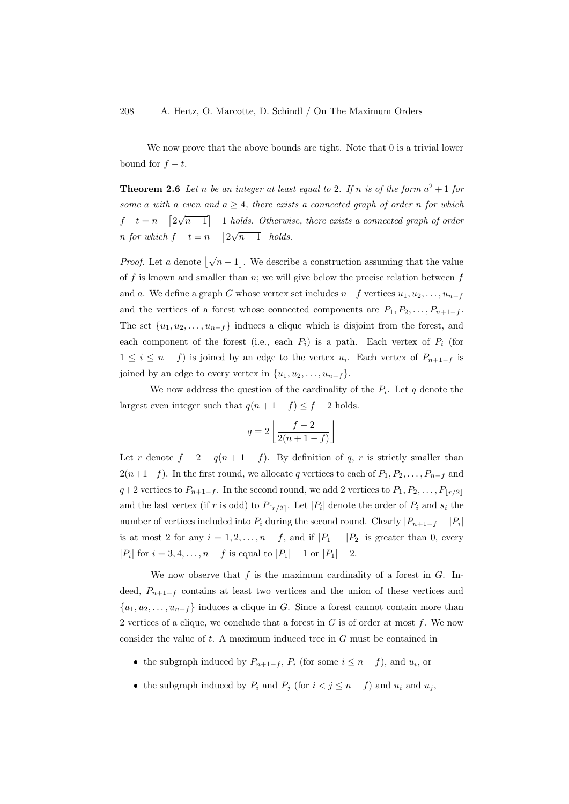We now prove that the above bounds are tight. Note that 0 is a trivial lower bound for  $f - t$ .

**Theorem 2.6** Let n be an integer at least equal to 2. If n is of the form  $a^2 + 1$  for some a with a even and  $a > 4$ , there exists a connected graph of order n for which  $f - t = n - \left[2\sqrt{n-1}\right] - 1$  holds. Otherwise, there exists a connected graph of order n for which  $f - t = n - \lfloor 2\sqrt{n-1} \rfloor$  holds.

*Proof.* Let a denote  $\lfloor \sqrt{n-1} \rfloor$ . We describe a construction assuming that the value of f is known and smaller than  $n$ ; we will give below the precise relation between  $f$ and a. We define a graph G whose vertex set includes  $n-f$  vertices  $u_1, u_2, \ldots, u_{n-f}$ and the vertices of a forest whose connected components are  $P_1, P_2, \ldots, P_{n+1-f}$ . The set  $\{u_1, u_2, \ldots, u_{n-f}\}\$  induces a clique which is disjoint from the forest, and each component of the forest (i.e., each  $P_i$ ) is a path. Each vertex of  $P_i$  (for  $1 \leq i \leq n-f$  is joined by an edge to the vertex  $u_i$ . Each vertex of  $P_{n+1-f}$  is joined by an edge to every vertex in  $\{u_1, u_2, \ldots, u_{n-f}\}.$ 

We now address the question of the cardinality of the  $P_i$ . Let q denote the largest even integer such that  $q(n+1-f) \leq f-2$  holds.

$$
q = 2\left\lfloor \frac{f-2}{2(n+1-f)} \right\rfloor
$$

Let r denote  $f - 2 - q(n + 1 - f)$ . By definition of q, r is strictly smaller than  $2(n+1-f)$ . In the first round, we allocate q vertices to each of  $P_1, P_2, \ldots, P_{n-f}$  and  $q+2$  vertices to  $P_{n+1-f}$ . In the second round, we add 2 vertices to  $P_1, P_2, \ldots, P_{|r/2|}$ and the last vertex (if r is odd) to  $P_{\lceil r/2 \rceil}$ . Let  $|P_i|$  denote the order of  $P_i$  and  $s_i$  the number of vertices included into  $P_i$  during the second round. Clearly  $|P_{n+1-f}|-|P_i|$ is at most 2 for any  $i = 1, 2, ..., n - f$ , and if  $|P_1| - |P_2|$  is greater than 0, every  $|P_i|$  for  $i = 3, 4, \ldots, n - f$  is equal to  $|P_1| - 1$  or  $|P_1| - 2$ .

We now observe that  $f$  is the maximum cardinality of a forest in  $G$ . Indeed,  $P_{n+1-f}$  contains at least two vertices and the union of these vertices and  $\{u_1, u_2, \ldots, u_{n-f}\}\$  induces a clique in G. Since a forest cannot contain more than 2 vertices of a clique, we conclude that a forest in  $G$  is of order at most  $f$ . We now consider the value of  $t$ . A maximum induced tree in  $G$  must be contained in

- the subgraph induced by  $P_{n+1-f}$ ,  $P_i$  (for some  $i \leq n-f$ ), and  $u_i$ , or
- the subgraph induced by  $P_i$  and  $P_j$  (for  $i < j \leq n f$ ) and  $u_i$  and  $u_j$ ,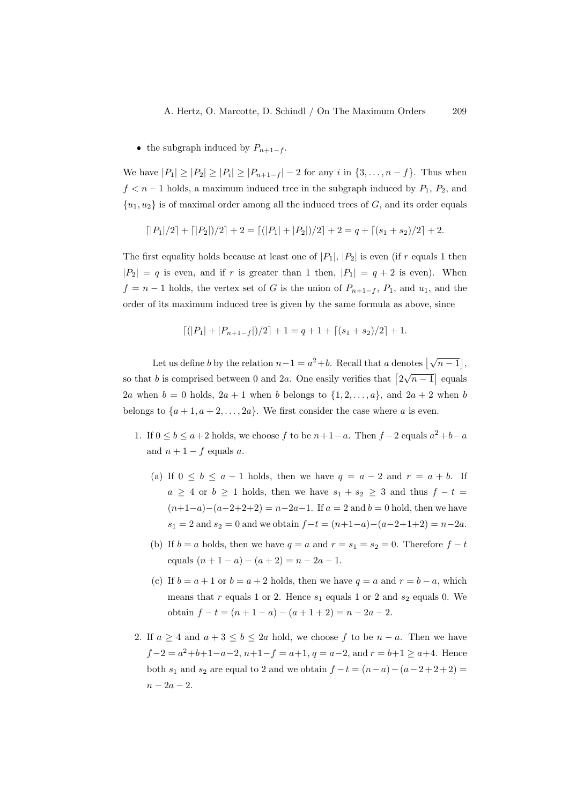• the subgraph induced by  $P_{n+1-f}$ .

We have  $|P_1| \geq |P_2| \geq |P_i| \geq |P_{n+1-f}|-2$  for any i in  $\{3,\ldots,n-f\}$ . Thus when  $f < n - 1$  holds, a maximum induced tree in the subgraph induced by  $P_1$ ,  $P_2$ , and  ${u_1, u_2}$  is of maximal order among all the induced trees of G, and its order equals

$$
\lceil |P_1|/2\rceil + \lceil |P_2|/2\rceil + 2 = \lceil (|P_1| + |P_2|)/2\rceil + 2 = q + \lceil (s_1 + s_2)/2\rceil + 2.
$$

The first equality holds because at least one of  $|P_1|, |P_2|$  is even (if r equals 1 then  $|P_2| = q$  is even, and if r is greater than 1 then,  $|P_1| = q + 2$  is even). When  $f = n - 1$  holds, the vertex set of G is the union of  $P_{n+1-f}$ ,  $P_1$ , and  $u_1$ , and the order of its maximum induced tree is given by the same formula as above, since

$$
\lceil (|P_1| + |P_{n+1-f}|)/2 \rceil + 1 = q + 1 + \lceil (s_1 + s_2)/2 \rceil + 1.
$$

Let us define b by the relation  $n-1 = a^2 + b$ . Recall that a denotes  $\lfloor \sqrt{n-1} \rfloor$ , so that b is comprised between 0 and 2a. One easily verifies that  $\left[2\sqrt{n-1}\right]$  equals 2a when  $b = 0$  holds,  $2a + 1$  when b belongs to  $\{1, 2, \ldots, a\}$ , and  $2a + 2$  when b belongs to  $\{a+1, a+2, \ldots, 2a\}$ . We first consider the case where a is even.

- 1. If  $0 \le b \le a+2$  holds, we choose f to be  $n+1-a$ . Then  $f-2$  equals  $a^2+b-a$ and  $n + 1 - f$  equals a.
	- (a) If  $0 \leq b \leq a-1$  holds, then we have  $q = a-2$  and  $r = a+b$ . If  $a \geq 4$  or  $b \geq 1$  holds, then we have  $s_1 + s_2 \geq 3$  and thus  $f - t =$  $(n+1-a)-(a-2+2+2)=n-2a-1$ . If  $a=2$  and  $b=0$  hold, then we have  $s_1 = 2$  and  $s_2 = 0$  and we obtain  $f-t = (n+1-a)-(a-2+1+2) = n-2a$ .
	- (b) If  $b = a$  holds, then we have  $q = a$  and  $r = s_1 = s_2 = 0$ . Therefore  $f t$ equals  $(n+1-a)-(a+2)=n-2a-1$ .
	- (c) If  $b = a + 1$  or  $b = a + 2$  holds, then we have  $q = a$  and  $r = b a$ , which means that r equals 1 or 2. Hence  $s_1$  equals 1 or 2 and  $s_2$  equals 0. We obtain  $f - t = (n + 1 - a) - (a + 1 + 2) = n - 2a - 2$ .
- 2. If  $a \geq 4$  and  $a + 3 \leq b \leq 2a$  hold, we choose f to be  $n a$ . Then we have  $f-2 = a^2+b+1-a-2, n+1-f = a+1, q = a-2, \text{ and } r = b+1 \ge a+4.$  Hence both  $s_1$  and  $s_2$  are equal to 2 and we obtain  $f - t = (n - a) - (a - 2 + 2 + 2) =$  $n - 2a - 2.$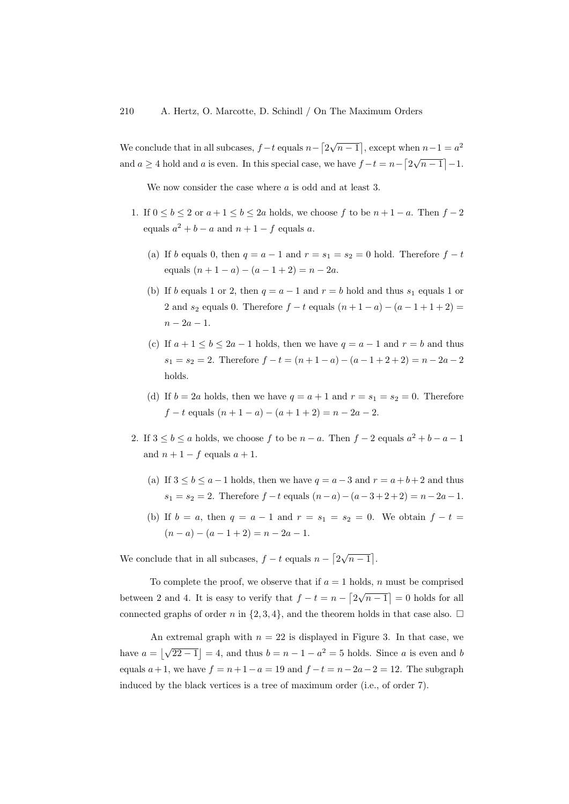We conclude that in all subcases,  $f - t$  equals  $n - \lfloor 2\sqrt{n-1} \rfloor$ , except when  $n - 1 = a^2$ and  $a \ge 4$  hold and a is even. In this special case, we have  $f - t = n - \lfloor 2\sqrt{n-1} \rfloor - 1$ .

We now consider the case where a is odd and at least 3.

- 1. If  $0 \leq b \leq 2$  or  $a+1 \leq b \leq 2a$  holds, we choose f to be  $n+1-a$ . Then  $f-2$ equals  $a^2 + b - a$  and  $n + 1 - f$  equals a.
	- (a) If b equals 0, then  $q = a 1$  and  $r = s_1 = s_2 = 0$  hold. Therefore  $f t$ equals  $(n + 1 - a) - (a - 1 + 2) = n - 2a$ .
	- (b) If b equals 1 or 2, then  $q = a 1$  and  $r = b$  hold and thus  $s_1$  equals 1 or 2 and  $s_2$  equals 0. Therefore  $f - t$  equals  $(n + 1 - a) - (a - 1 + 1 + 2) =$  $n - 2a - 1.$
	- (c) If  $a + 1 \le b \le 2a 1$  holds, then we have  $q = a 1$  and  $r = b$  and thus  $s_1 = s_2 = 2$ . Therefore  $f - t = (n + 1 - a) - (a - 1 + 2 + 2) = n - 2a - 2$ holds.
	- (d) If  $b = 2a$  holds, then we have  $q = a + 1$  and  $r = s_1 = s_2 = 0$ . Therefore  $f - t$  equals  $(n + 1 - a) - (a + 1 + 2) = n - 2a - 2$ .
- 2. If  $3 \le b \le a$  holds, we choose f to be  $n a$ . Then  $f 2$  equals  $a^2 + b a 1$ and  $n + 1 - f$  equals  $a + 1$ .
	- (a) If  $3 \le b \le a-1$  holds, then we have  $q = a-3$  and  $r = a+b+2$  and thus  $s_1 = s_2 = 2$ . Therefore  $f - t$  equals  $(n - a) - (a - 3 + 2 + 2) = n - 2a - 1$ .
	- (b) If  $b = a$ , then  $q = a 1$  and  $r = s_1 = s_2 = 0$ . We obtain  $f t =$  $(n - a) - (a - 1 + 2) = n - 2a - 1.$

We conclude that in all subcases,  $f - t$  equals  $n - \lfloor 2\sqrt{n-1} \rfloor$ .

To complete the proof, we observe that if  $a = 1$  holds, n must be comprised between 2 and 4. It is easy to verify that  $f - t = n - \lfloor 2\sqrt{n-1} \rfloor = 0$  holds for all connected graphs of order n in  $\{2,3,4\}$ , and the theorem holds in that case also.  $\Box$ 

An extremal graph with  $n = 22$  is displayed in Figure 3. In that case, we have  $a = |\sqrt{22 - 1}| = 4$ , and thus  $b = n - 1 - a^2 = 5$  holds. Since a is even and b equals  $a+1$ , we have  $f = n+1-a = 19$  and  $f-t = n-2a-2 = 12$ . The subgraph induced by the black vertices is a tree of maximum order (i.e., of order 7).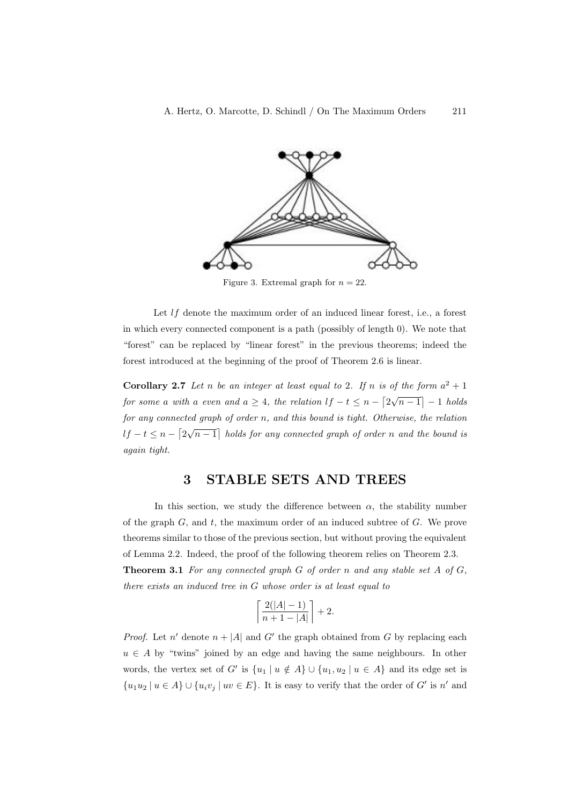

Figure 3. Extremal graph for  $n = 22$ .

Let  $If$  denote the maximum order of an induced linear forest, i.e., a forest in which every connected component is a path (possibly of length 0). We note that "forest" can be replaced by "linear forest" in the previous theorems; indeed the forest introduced at the beginning of the proof of Theorem 2.6 is linear.

**Corollary 2.7** Let n be an integer at least equal to 2. If n is of the form  $a^2 + 1$ for some a with a even and  $a \geq 4$ , the relation  $lf - t \leq n - \lceil 2\sqrt{n-1} \rceil - 1$  holds for any connected graph of order n, and this bound is tight. Otherwise, the relation  $\ell_1 = \ell_1 = \ell_2$   $\ell_1 = \lceil 2\sqrt{n-1} \rceil$  holds for any connected graph of order n and the bound is again tight.

### 3 STABLE SETS AND TREES

In this section, we study the difference between  $\alpha$ , the stability number of the graph  $G$ , and  $t$ , the maximum order of an induced subtree of  $G$ . We prove theorems similar to those of the previous section, but without proving the equivalent of Lemma 2.2. Indeed, the proof of the following theorem relies on Theorem 2.3. **Theorem 3.1** For any connected graph  $G$  of order n and any stable set  $A$  of  $G$ . there exists an induced tree in G whose order is at least equal to

$$
\left\lceil \frac{2(|A|-1)}{n+1-|A|} \right\rceil + 2.
$$

*Proof.* Let n' denote  $n + |A|$  and G' the graph obtained from G by replacing each  $u \in A$  by "twins" joined by an edge and having the same neighbours. In other words, the vertex set of G' is  $\{u_1 \mid u \notin A\} \cup \{u_1, u_2 \mid u \in A\}$  and its edge set is  ${u_1u_2 \mid u \in A} \cup {u_iv_j \mid uv \in E}.$  It is easy to verify that the order of G' is n' and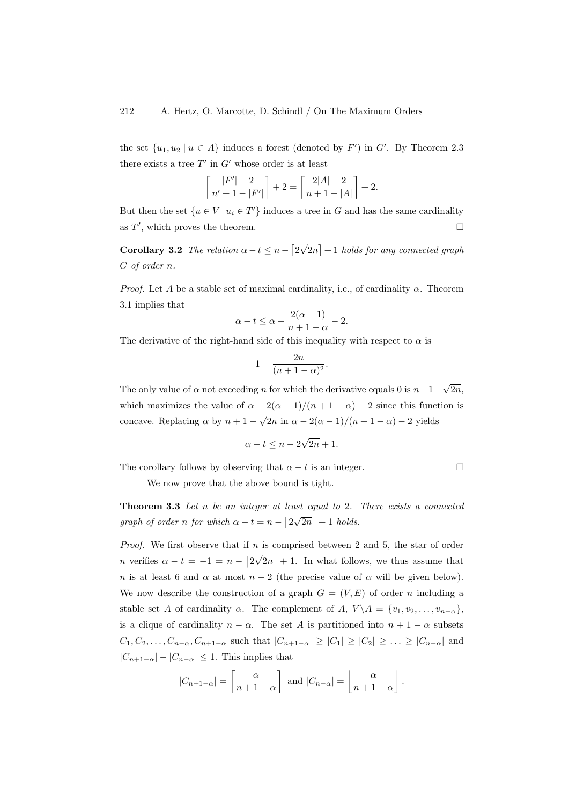the set  $\{u_1, u_2 \mid u \in A\}$  induces a forest (denoted by F') in G'. By Theorem 2.3 there exists a tree  $T'$  in  $G'$  whose order is at least

$$
\left\lceil \frac{|F'|-2}{n'+1-|F'|} \right\rceil + 2 = \left\lceil \frac{2|A|-2}{n+1-|A|} \right\rceil + 2.
$$

But then the set  $\{u \in V \mid u_i \in T'\}$  induces a tree in G and has the same cardinality as  $T'$ , which proves the theorem.

Corollary 3.2 The relation  $\alpha - t \leq n - \lceil 2 \rceil$ √  $\boxed{2n}$  + 1 holds for any connected graph G of order n.

*Proof.* Let A be a stable set of maximal cardinality, i.e., of cardinality  $\alpha$ . Theorem 3.1 implies that

$$
\alpha - t \le \alpha - \frac{2(\alpha - 1)}{n + 1 - \alpha} - 2.
$$

The derivative of the right-hand side of this inequality with respect to  $\alpha$  is

$$
1 - \frac{2n}{(n+1-\alpha)^2}.
$$

The only value of  $\alpha$  not exceeding n for which the derivative equals 0 is  $n+1-$ √ 2n, which maximizes the value of  $\alpha - 2(\alpha - 1)/(n + 1 - \alpha) - 2$  since this function is concave. Replacing  $\alpha$  by  $n + 1 -$ √  $(2n \text{ in } \alpha - 2(\alpha - 1)/(n + 1 - \alpha) - 2 \text{ yields})$ 

$$
\alpha - t \le n - 2\sqrt{2n} + 1.
$$

The corollary follows by observing that  $\alpha - t$  is an integer. We now prove that the above bound is tight.

$$
\Box
$$

**Theorem 3.3** Let  $n$  be an integer at least equal to 2. There exists a connected graph of order n for which  $\alpha - t = n - \lceil 2$ √  $\boxed{2n} + 1 \ holds.$ 

*Proof.* We first observe that if n is comprised between 2 and 5, the star of order n verifies  $\alpha - t = -1 = n - \lceil 2$ √  $\boxed{2n}$  + 1. In what follows, we thus assume that n is at least 6 and  $\alpha$  at most  $n-2$  (the precise value of  $\alpha$  will be given below). We now describe the construction of a graph  $G = (V, E)$  of order n including a stable set A of cardinality  $\alpha$ . The complement of A,  $V \setminus A = \{v_1, v_2, \ldots, v_{n-\alpha}\},\$ is a clique of cardinality  $n - \alpha$ . The set A is partitioned into  $n + 1 - \alpha$  subsets  $C_1, C_2, \ldots, C_{n-\alpha}, C_{n+1-\alpha}$  such that  $|C_{n+1-\alpha}| \geq |C_1| \geq |C_2| \geq \ldots \geq |C_{n-\alpha}|$  and  $|C_{n+1-\alpha}| - |C_{n-\alpha}| \leq 1$ . This implies that

$$
|C_{n+1-\alpha}| = \left\lceil \frac{\alpha}{n+1-\alpha} \right\rceil \text{ and } |C_{n-\alpha}| = \left\lfloor \frac{\alpha}{n+1-\alpha} \right\rfloor.
$$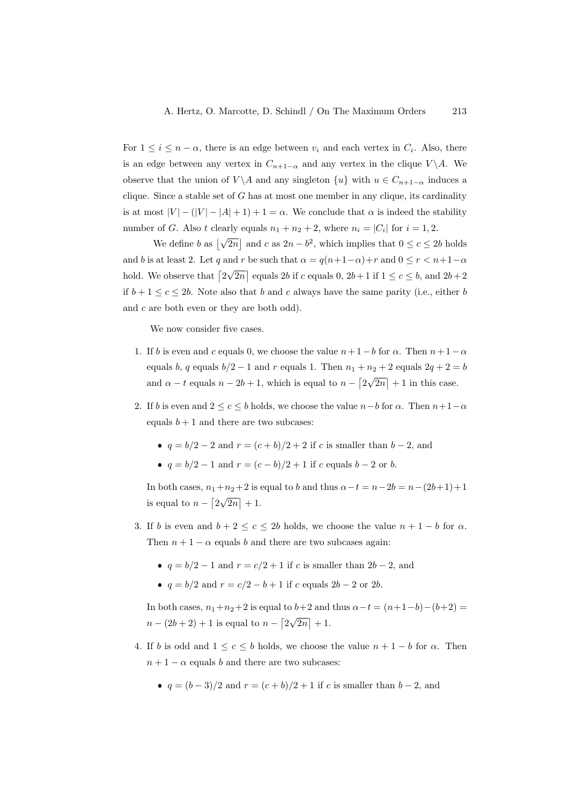For  $1 \leq i \leq n - \alpha$ , there is an edge between  $v_i$  and each vertex in  $C_i$ . Also, there is an edge between any vertex in  $C_{n+1-\alpha}$  and any vertex in the clique  $V \setminus A$ . We observe that the union of  $V \setminus A$  and any singleton  $\{u\}$  with  $u \in C_{n+1-\alpha}$  induces a clique. Since a stable set of  $G$  has at most one member in any clique, its cardinality is at most  $|V| - (|V| - |A| + 1) + 1 = \alpha$ . We conclude that  $\alpha$  is indeed the stability number of G. Also t clearly equals  $n_1 + n_2 + 2$ , where  $n_i = |C_i|$  for  $i = 1, 2$ .

We define b as  $\sqrt{2n}$  and c as  $2n - b^2$ , which implies that  $0 \le c \le 2b$  holds and b is at least 2. Let q and r be such that  $\alpha = q(n+1-\alpha)+r$  and  $0 \le r < n+1-\alpha$ hold. We observe that  $\lceil 2 \rceil$ √  $\boxed{2n}$  equals 2b if c equals 0, 2b + 1 if  $1 \leq c \leq b$ , and  $2b+2$ if  $b+1 \leq c \leq 2b$ . Note also that b and c always have the same parity (i.e., either b and  $c$  are both even or they are both odd).

We now consider five cases.

- 1. If b is even and c equals 0, we choose the value  $n+1-b$  for  $\alpha$ . Then  $n+1-\alpha$ equals b, q equals  $b/2 - 1$  and r equals 1. Then  $n_1 + n_2 + 2$  equals  $2q + 2 = b$ and  $\alpha - t$  equals  $n - 2b + 1$ , which is equal to  $n - \lceil 2$ √  $\boxed{2n}$  + 1 in this case.
- 2. If b is even and  $2 \leq c \leq b$  holds, we choose the value  $n-b$  for  $\alpha$ . Then  $n+1-\alpha$ equals  $b + 1$  and there are two subcases:
	- $q = b/2 2$  and  $r = (c + b)/2 + 2$  if c is smaller than  $b 2$ , and
	- $q = b/2 1$  and  $r = (c b)/2 + 1$  if c equals  $b 2$  or b.

In both cases,  $n_1+n_2+2$  is equal to b and thus  $\alpha-t=n-2b=n-(2b+1)+1$ is equal to  $n - \lceil 2 \rceil$ √  $\boxed{2n}$  + 1.

- 3. If b is even and  $b + 2 \leq c \leq 2b$  holds, we choose the value  $n + 1 b$  for  $\alpha$ . Then  $n + 1 - \alpha$  equals b and there are two subcases again:
	- $q = b/2 1$  and  $r = c/2 + 1$  if c is smaller than  $2b 2$ , and
	- $q = b/2$  and  $r = c/2 b + 1$  if c equals  $2b 2$  or  $2b$ .

In both cases,  $n_1+n_2+2$  is equal to  $b+2$  and thus  $\alpha-t = (n+1-b)-(b+2)$  $n - (2b + 2) + 1$  is equal to  $n - 2$ √  $\boxed{2n}$  + 1.

- 4. If b is odd and  $1 \leq c \leq b$  holds, we choose the value  $n + 1 b$  for  $\alpha$ . Then  $n + 1 - \alpha$  equals b and there are two subcases:
	- $q = (b-3)/2$  and  $r = (c+b)/2+1$  if c is smaller than  $b-2$ , and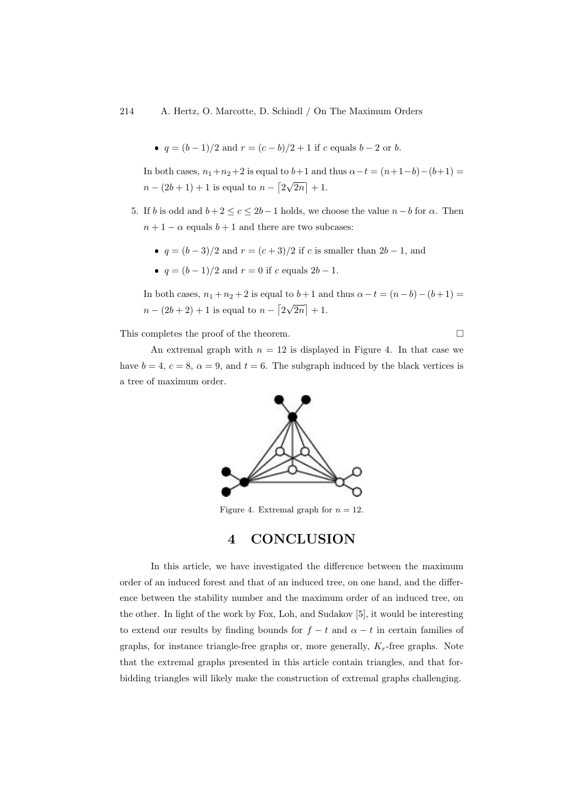•  $q = (b-1)/2$  and  $r = (c - b)/2 + 1$  if c equals  $b - 2$  or b.

In both cases,  $n_1+n_2+2$  is equal to  $b+1$  and thus  $\alpha-t = (n+1-b)-(b+1)$  $n - (2b + 1) + 1$  is equal to  $n - 2$ √  $\boxed{2n}$  + 1.

- 5. If b is odd and  $b+2 \leq c \leq 2b-1$  holds, we choose the value  $n-b$  for  $\alpha$ . Then  $n + 1 - \alpha$  equals  $b + 1$  and there are two subcases:
	- $q = (b-3)/2$  and  $r = (c+3)/2$  if c is smaller than  $2b-1$ , and
	- $q = (b-1)/2$  and  $r = 0$  if c equals  $2b 1$ .

In both cases,  $n_1 + n_2 + 2$  is equal to  $b+1$  and thus  $\alpha - t = (n-b) - (b+1) =$  $n - (2b + 2) + 1$  is equal to  $n - 2$ √  $\boxed{2n}$  + 1.

This completes the proof of the theorem.  $\Box$ 

An extremal graph with  $n = 12$  is displayed in Figure 4. In that case we have  $b = 4$ ,  $c = 8$ ,  $\alpha = 9$ , and  $t = 6$ . The subgraph induced by the black vertices is a tree of maximum order.



Figure 4. Extremal graph for  $n = 12$ .

## 4 CONCLUSION

In this article, we have investigated the difference between the maximum order of an induced forest and that of an induced tree, on one hand, and the difference between the stability number and the maximum order of an induced tree, on the other. In light of the work by Fox, Loh, and Sudakov [5], it would be interesting to extend our results by finding bounds for  $f - t$  and  $\alpha - t$  in certain families of graphs, for instance triangle-free graphs or, more generally,  $K_r$ -free graphs. Note that the extremal graphs presented in this article contain triangles, and that forbidding triangles will likely make the construction of extremal graphs challenging.